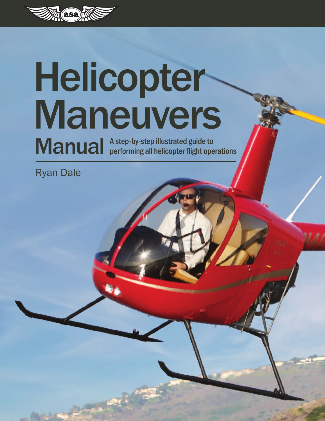# Helicopter Maneuvers

Manual A step-by-step illustrated guide to<br>
performing all helicopter flight operations

Ryan Dale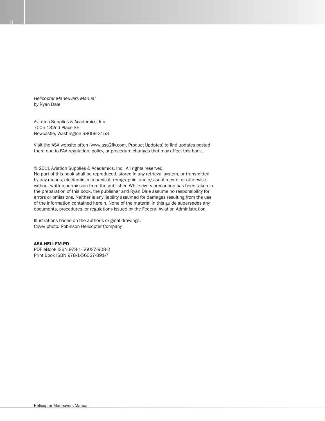*Helicopter Maneuvers Manual* by Ryan Dale

ii

Aviation Supplies & Academics, Inc. 7005 132nd Place SE Newcastle, Washington 98059-3153

Visit the ASA website often (www.asa2fly.com, Product Updates) to find updates posted there due to FAA regulation, policy, or procedure changes that may affect this book.

© 2011 Aviation Supplies & Academics, Inc. All rights reserved.

No part of this book shall be reproduced, stored in any retrieval system, or transmitted by any means, electronic, mechanical, xerographic, audio/visual record, or otherwise, without written permission from the publisher. While every precaution has been taken in the preparation of this book, the publisher and Ryan Dale assume no responsibility for errors or omissions. Neither is any liability assumed for damages resulting from the use of the information contained herein. None of the material in this guide supersedes any documents, procedures, or regulations issued by the Federal Aviation Administration.

Illustrations based on the author's original drawings. Cover photo: Robinson Helicopter Company

#### ASA-HELI-FM-PD

PDF eBook ISBN 978-1-56027-908-2 Print Book ISBN 978-1-56027-891-7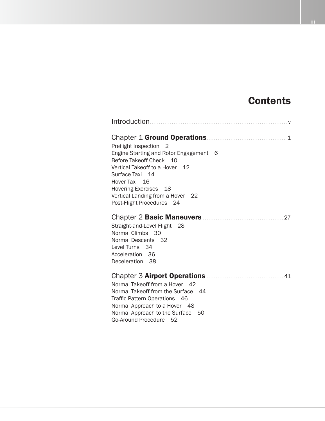## **Contents**

<span id="page-2-0"></span>

| $\mathbf{1}$<br>Preflight Inspection<br>$\overline{\phantom{0}}^2$<br>Engine Starting and Rotor Engagement 6<br>Before Take off Check 10<br>Vertical Takeoff to a Hover 12<br>Surface Taxi 14<br>Hover Taxi 16<br>Hovering Exercises 18<br>Vertical Landing from a Hover 22<br>Post-Flight Procedures 24 |
|----------------------------------------------------------------------------------------------------------------------------------------------------------------------------------------------------------------------------------------------------------------------------------------------------------|
| Chapter 2 Basic Maneuvers <b>Manumers Chapter 2 Basic Maneuvers</b><br>27<br>Straight-and-Level Flight 28<br>Normal Climbs 30<br>Normal Descents 32<br>Level Turns 34<br>Acceleration 36<br>Deceleration 38                                                                                              |
| 41<br>Normal Takeoff from a Hover 42<br>Normal Takeoff from the Surface 44<br>Traffic Pattern Operations 46<br>Normal Approach to a Hover 48<br>Normal Approach to the Surface<br>50                                                                                                                     |

[Go-Around Procedure](#page--1-0) 52

#### iii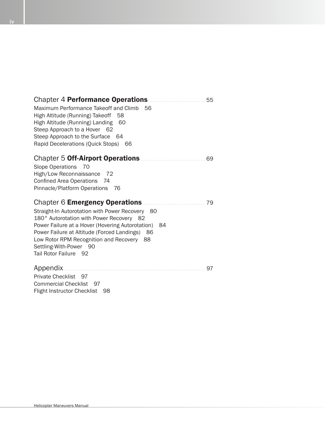### [Chapter 4](#page--1-0) [Performance Operations](#page--1-0)................................55

[Maximum Performance Takeoff and Climb](#page--1-0) 56 [High Altitude \(Running\) Takeoff](#page--1-0) 58 [High Altitude \(Running\) Landing](#page--1-0) 60 [Steep Approach to a Hover](#page--1-0) 62 [Steep Approach to the Surface](#page--1-0) 64 [Rapid Decelerations \(Quick Stops\)](#page--1-0) 66

#### [Chapter 5](#page--1-0) [Off-Airport Operations](#page--1-0)....................................69

[Slope Operations](#page--1-0) 70 [High/Low Reconnaissance](#page--1-0) 72 [Confined Area Operations](#page--1-0) 74 [Pinnacle/Platform Operations](#page--1-0) 76

#### [Chapter 6](#page--1-0) [Emergency Operations](#page--1-0)...................................79

[Straight-In Autorotation with Power Recovery](#page--1-0) 80 [180° Autorotation with Power Recovery](#page--1-0) 82 [Power Failure at a Hover \(Hovering Autorotation\)](#page--1-0) 84 [Power Failure at Altitude \(Forced Landings\)](#page--1-0) 86 [Low Rotor RPM Recognition and Recovery](#page--1-0) 88 [Settling-With-Power](#page--1-0) 90 [Tail Rotor Failure](#page--1-0) 92

Appendix[..............................................................................](#page-2-0) 97

Private Checklist 97 Commercial Checklist 97 Flight Instructor Checklist 98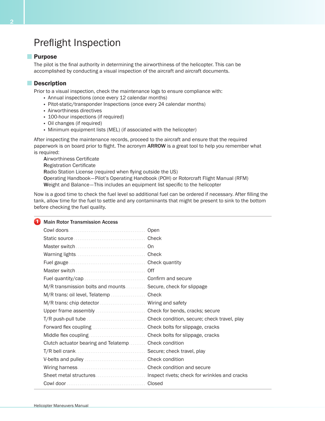## Preflight Inspection

#### **Purpose**

The pilot is the final authority in determining the airworthiness of the helicopter. This can be accomplished by conducting a visual inspection of the aircraft and aircraft documents.

#### **Description**

Prior to a visual inspection, check the maintenance logs to ensure compliance with:

- **•** Annual inspections (once every 12 calendar months)
- **•** Pitot-static/transponder Inspections (once every 24 calendar months)
- **•** Airworthiness directives
- **•** 100-hour inspections (if required)
- **•** Oil changes (if required)
- **•** Minimum equipment lists (MEL) (if associated with the helicopter)

After inspecting the maintenance records, proceed to the aircraft and ensure that the required paperwork is on board prior to flight. The acronym ARROW is a great tool to help you remember what is required:

Airworthiness Certificate Registration Certificate Radio Station License (required when flying outside the US) Operating Handbook—Pilot's Operating Handbook (POH) or Rotorcraft Flight Manual (RFM) Weight and Balance—This includes an equipment list specific to the helicopter

Now is a good time to check the fuel level so additional fuel can be ordered if necessary. After filling the tank, allow time for the fuel to settle and any contaminants that might be present to sink to the bottom before checking the fuel quality.

| 1 | <b>Main Rotor Transmission Access</b>                        |  |
|---|--------------------------------------------------------------|--|
|   |                                                              |  |
|   |                                                              |  |
|   |                                                              |  |
|   |                                                              |  |
|   |                                                              |  |
|   |                                                              |  |
|   |                                                              |  |
|   | M/R transmission bolts and mounts Secure, check for slippage |  |
|   |                                                              |  |
|   |                                                              |  |
|   |                                                              |  |
|   |                                                              |  |
|   |                                                              |  |
|   |                                                              |  |
|   | Clutch actuator bearing and Telatemp Check condition         |  |
|   |                                                              |  |
|   |                                                              |  |
|   |                                                              |  |
|   |                                                              |  |
|   |                                                              |  |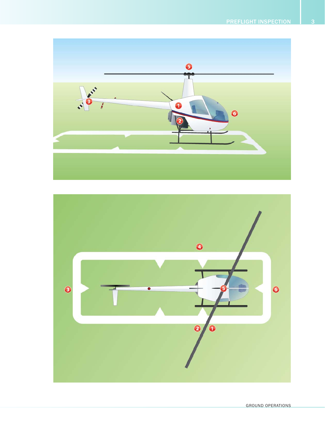

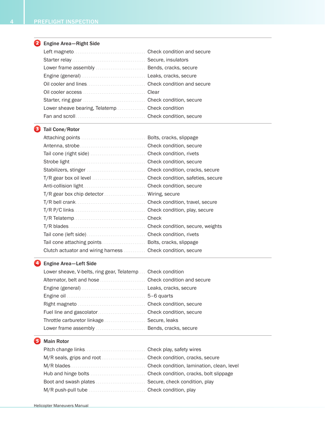#### **2** Engine Area-Right Side

| Lower frame assembly  Bends, cracks, secure |  |
|---------------------------------------------|--|
|                                             |  |
|                                             |  |
|                                             |  |
|                                             |  |
|                                             |  |
|                                             |  |

#### **3** Tail Cone/Rotor

|                                    | Bolts, cracks, slippage           |
|------------------------------------|-----------------------------------|
|                                    | Check condition, secure           |
|                                    | Check condition, rivets           |
|                                    | Check condition, secure           |
|                                    | Check condition, cracks, secure   |
|                                    | Check condition, safeties, secure |
|                                    | Check condition, secure           |
|                                    |                                   |
|                                    | Check condition, travel, secure   |
|                                    | Check condition, play, secure     |
|                                    | Check                             |
|                                    | Check condition, secure, weights  |
|                                    | Check condition, rivets           |
|                                    |                                   |
| Clutch actuator and wiring harness | Check condition, secure           |

#### **4** Engine Area-Left Side

| Lower sheave, V-belts, ring gear, Telatemp Check condition |  |
|------------------------------------------------------------|--|
|                                                            |  |
|                                                            |  |
|                                                            |  |
|                                                            |  |
|                                                            |  |
| Throttle carburetor linkage Secure, leaks                  |  |
| Lower frame assembly  Bends, cracks, secure                |  |

### **5** Main Rotor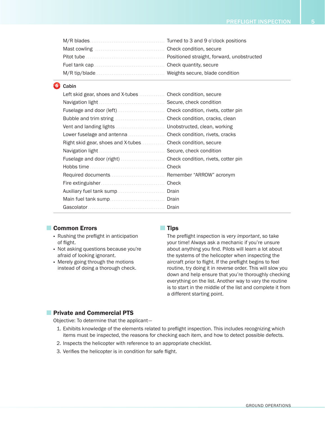#### 6 Cabin

| Left skid gear, shoes and X-tubes                          | Check condition, secure             |
|------------------------------------------------------------|-------------------------------------|
|                                                            |                                     |
| Fuselage and door (left)                                   | Check condition, rivets, cotter pin |
|                                                            | Check condition, cracks, clean      |
|                                                            |                                     |
|                                                            |                                     |
| Right skid gear, shoes and X-tubes Check condition, secure |                                     |
|                                                            |                                     |
|                                                            |                                     |
|                                                            | Check                               |
|                                                            | Remember "ARROW" acronym            |
|                                                            | Check                               |
|                                                            |                                     |
|                                                            |                                     |
|                                                            |                                     |

#### **Common Errors**

- **•** Rushing the preflight in anticipation of flight.
- **•** Not asking questions because you're afraid of looking ignorant.
- **•** Merely going through the motions instead of doing a thorough check.

#### **Tips**

The preflight inspection is *very important*, so take your time! Always ask a mechanic if you're unsure about anything you find. Pilots will learn a lot about the systems of the helicopter when inspecting the aircraft prior to flight. If the preflight begins to feel routine, try doing it in reverse order. This will slow you down and help ensure that you're thoroughly checking everything on the list. Another way to vary the routine is to start in the middle of the list and complete it from a different starting point.

#### **Private and Commercial PTS**

Objective: To determine that the applicant—

- 1. Exhibits knowledge of the elements related to preflight inspection. This includes recognizing which items must be inspected, the reasons for checking each item, and how to detect possible defects.
- 2. Inspects the helicopter with reference to an appropriate checklist.
- 3. Verifies the helicopter is in condition for safe flight.

GROUND OPERATIONS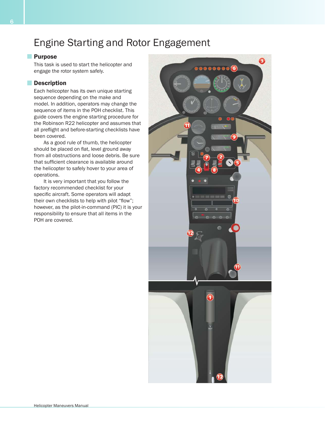## Engine Starting and Rotor Engagement

#### **Purpose**

This task is used to start the helicopter and engage the rotor system safely.

#### **Description**

Each helicopter has its own unique starting sequence depending on the make and model. In addition, operators may change the sequence of items in the POH checklist. This guide covers the engine starting procedure for the Robinson R22 helicopter and assumes that all preflight and before-starting checklists have been covered.

As a good rule of thumb, the helicopter should be placed on flat, level ground away from all obstructions and loose debris. Be sure that sufficient clearance is available around the helicopter to safely hover to your area of operations.

It is very important that you follow the factory recommended checklist for your specific aircraft. Some operators will adapt their own checklists to help with pilot "flow"; however, as the pilot-in-command (PIC) it is your responsibility to ensure that all items in the POH are covered.